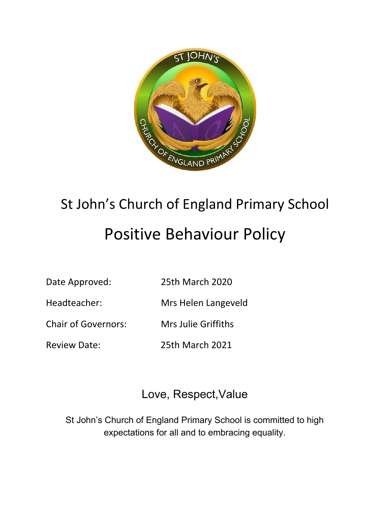

# St John's Church of England Primary School Positive Behaviour Policy

Date Approved: 25th March 2020

Headteacher: Mrs Helen Langeveld

Chair of Governors: Mrs Julie Griffiths

Review Date: 25th March 2021

# Love, Respect,Value

St John's Church of England Primary School is committed to high expectations for all and to embracing equality.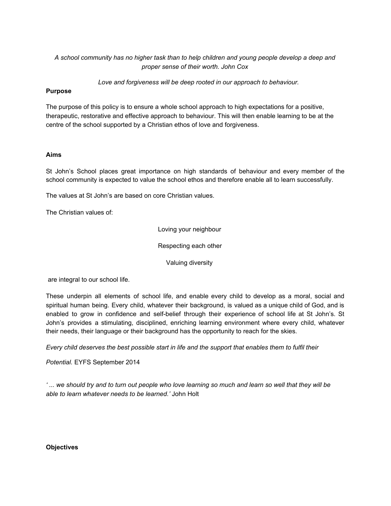*A school community has no higher task than to help children and young people develop a deep and proper sense of their worth. John Cox*

*Love and forgiveness will be deep rooted in our approach to behaviour.*

# **Purpose**

The purpose of this policy is to ensure a whole school approach to high expectations for a positive, therapeutic, restorative and effective approach to behaviour. This will then enable learning to be at the centre of the school supported by a Christian ethos of love and forgiveness.

# **Aims**

St John's School places great importance on high standards of behaviour and every member of the school community is expected to value the school ethos and therefore enable all to learn successfully.

The values at St John's are based on core Christian values.

The Christian values of:

Loving your neighbour

Respecting each other

Valuing diversity

are integral to our school life.

These underpin all elements of school life, and enable every child to develop as a moral, social and spiritual human being. Every child, whatever their background, is valued as a unique child of God, and is enabled to grow in confidence and self-belief through their experience of school life at St John's. St John's provides a stimulating, disciplined, enriching learning environment where every child, whatever their needs, their language or their background has the opportunity to reach for the skies.

Every child deserves the best possible start in life and the support that enables them to fulfil their

*Potential.* EYFS September 2014

'... we should try and to turn out people who love learning so much and learn so well that they will be *able to learn whatever needs to be learned.'* John Holt

#### **Objectives**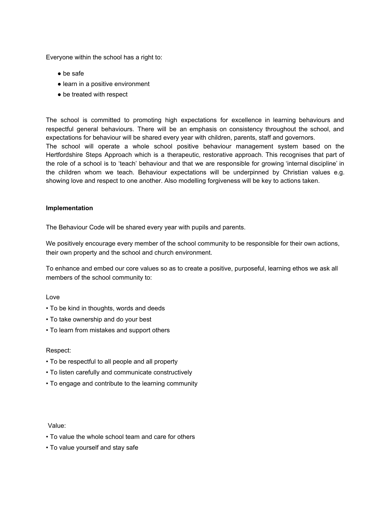Everyone within the school has a right to:

- be safe
- learn in a positive environment
- be treated with respect

The school is committed to promoting high expectations for excellence in learning behaviours and respectful general behaviours. There will be an emphasis on consistency throughout the school, and expectations for behaviour will be shared every year with children, parents, staff and governors. The school will operate a whole school positive behaviour management system based on the Hertfordshire Steps Approach which is a therapeutic, restorative approach. This recognises that part of the role of a school is to 'teach' behaviour and that we are responsible for growing 'internal discipline' in the children whom we teach. Behaviour expectations will be underpinned by Christian values e.g. showing love and respect to one another. Also modelling forgiveness will be key to actions taken.

#### **Implementation**

The Behaviour Code will be shared every year with pupils and parents.

We positively encourage every member of the school community to be responsible for their own actions, their own property and the school and church environment.

To enhance and embed our core values so as to create a positive, purposeful, learning ethos we ask all members of the school community to:

#### Love

- To be kind in thoughts, words and deeds
- To take ownership and do your best
- To learn from mistakes and support others

#### Respect:

- To be respectful to all people and all property
- To listen carefully and communicate constructively
- To engage and contribute to the learning community

#### Value:

- To value the whole school team and care for others
- To value yourself and stay safe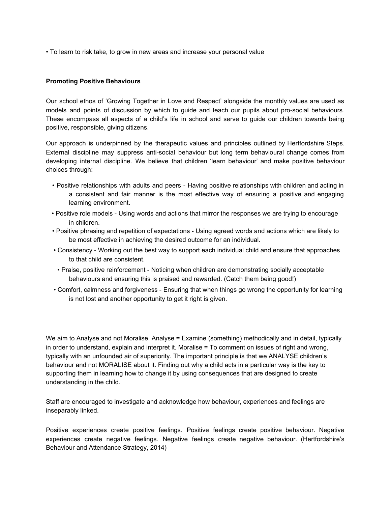• To learn to risk take, to grow in new areas and increase your personal value

#### **Promoting Positive Behaviours**

Our school ethos of 'Growing Together in Love and Respect' alongside the monthly values are used as models and points of discussion by which to guide and teach our pupils about pro-social behaviours. These encompass all aspects of a child's life in school and serve to guide our children towards being positive, responsible, giving citizens.

Our approach is underpinned by the therapeutic values and principles outlined by Hertfordshire Steps. External discipline may suppress anti-social behaviour but long term behavioural change comes from developing internal discipline. We believe that children 'learn behaviour' and make positive behaviour choices through:

- Positive relationships with adults and peers Having positive relationships with children and acting in a consistent and fair manner is the most effective way of ensuring a positive and engaging learning environment.
- Positive role models Using words and actions that mirror the responses we are trying to encourage in children.
- Positive phrasing and repetition of expectations Using agreed words and actions which are likely to be most effective in achieving the desired outcome for an individual.
- Consistency Working out the best way to support each individual child and ensure that approaches to that child are consistent.
- Praise, positive reinforcement Noticing when children are demonstrating socially acceptable behaviours and ensuring this is praised and rewarded. (Catch them being good!)
- Comfort, calmness and forgiveness Ensuring that when things go wrong the opportunity for learning is not lost and another opportunity to get it right is given.

We aim to Analyse and not Moralise. Analyse = Examine (something) methodically and in detail, typically in order to understand, explain and interpret it. Moralise = To comment on issues of right and wrong, typically with an unfounded air of superiority. The important principle is that we ANALYSE children's behaviour and not MORALISE about it. Finding out why a child acts in a particular way is the key to supporting them in learning how to change it by using consequences that are designed to create understanding in the child.

Staff are encouraged to investigate and acknowledge how behaviour, experiences and feelings are inseparably linked.

Positive experiences create positive feelings. Positive feelings create positive behaviour. Negative experiences create negative feelings. Negative feelings create negative behaviour. (Hertfordshire's Behaviour and Attendance Strategy, 2014)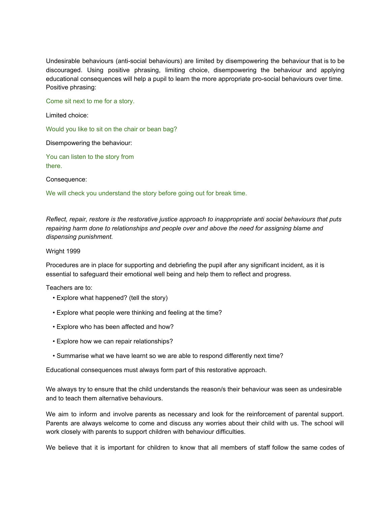Undesirable behaviours (anti-social behaviours) are limited by disempowering the behaviour that is to be discouraged. Using positive phrasing, limiting choice, disempowering the behaviour and applying educational consequences will help a pupil to learn the more appropriate pro-social behaviours over time. Positive phrasing:

Come sit next to me for a story.

Limited choice:

Would you like to sit on the chair or bean bag?

Disempowering the behaviour:

You can listen to the story from there.

Consequence:

We will check you understand the story before going out for break time.

*Reflect, repair, restore is the restorative justice approach to inappropriate anti social behaviours that puts repairing harm done to relationships and people over and above the need for assigning blame and dispensing punishment.*

#### Wright 1999

Procedures are in place for supporting and debriefing the pupil after any significant incident, as it is essential to safeguard their emotional well being and help them to reflect and progress.

Teachers are to:

- Explore what happened? (tell the story)
- Explore what people were thinking and feeling at the time?
- Explore who has been affected and how?
- Explore how we can repair relationships?
- Summarise what we have learnt so we are able to respond differently next time?

Educational consequences must always form part of this restorative approach.

We always try to ensure that the child understands the reason/s their behaviour was seen as undesirable and to teach them alternative behaviours.

We aim to inform and involve parents as necessary and look for the reinforcement of parental support. Parents are always welcome to come and discuss any worries about their child with us. The school will work closely with parents to support children with behaviour difficulties.

We believe that it is important for children to know that all members of staff follow the same codes of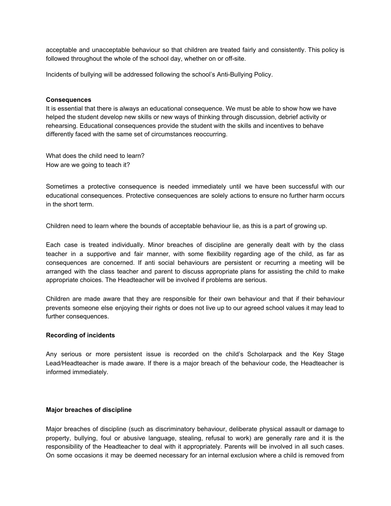acceptable and unacceptable behaviour so that children are treated fairly and consistently. This policy is followed throughout the whole of the school day, whether on or off-site.

Incidents of bullying will be addressed following the school's Anti-Bullying Policy.

#### **Consequences**

It is essential that there is always an educational consequence. We must be able to show how we have helped the student develop new skills or new ways of thinking through discussion, debrief activity or rehearsing. Educational consequences provide the student with the skills and incentives to behave differently faced with the same set of circumstances reoccurring.

What does the child need to learn? How are we going to teach it?

Sometimes a protective consequence is needed immediately until we have been successful with our educational consequences. Protective consequences are solely actions to ensure no further harm occurs in the short term.

Children need to learn where the bounds of acceptable behaviour lie, as this is a part of growing up.

Each case is treated individually. Minor breaches of discipline are generally dealt with by the class teacher in a supportive and fair manner, with some flexibility regarding age of the child, as far as consequences are concerned. If anti social behaviours are persistent or recurring a meeting will be arranged with the class teacher and parent to discuss appropriate plans for assisting the child to make appropriate choices. The Headteacher will be involved if problems are serious.

Children are made aware that they are responsible for their own behaviour and that if their behaviour prevents someone else enjoying their rights or does not live up to our agreed school values it may lead to further consequences.

#### **Recording of incidents**

Any serious or more persistent issue is recorded on the child's Scholarpack and the Key Stage Lead/Headteacher is made aware. If there is a major breach of the behaviour code, the Headteacher is informed immediately.

#### **Major breaches of discipline**

Major breaches of discipline (such as discriminatory behaviour, deliberate physical assault or damage to property, bullying, foul or abusive language, stealing, refusal to work) are generally rare and it is the responsibility of the Headteacher to deal with it appropriately. Parents will be involved in all such cases. On some occasions it may be deemed necessary for an internal exclusion where a child is removed from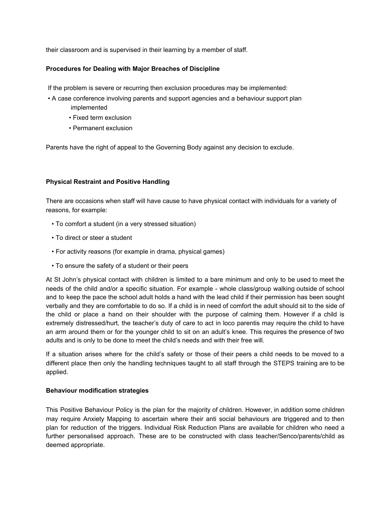their classroom and is supervised in their learning by a member of staff.

# **Procedures for Dealing with Major Breaches of Discipline**

If the problem is severe or recurring then exclusion procedures may be implemented:

- A case conference involving parents and support agencies and a behaviour support plan implemented
	- Fixed term exclusion
	- Permanent exclusion

Parents have the right of appeal to the Governing Body against any decision to exclude.

# **Physical Restraint and Positive Handling**

There are occasions when staff will have cause to have physical contact with individuals for a variety of reasons, for example:

- To comfort a student (in a very stressed situation)
- To direct or steer a student
- For activity reasons (for example in drama, physical games)
- To ensure the safety of a student or their peers

At St John's physical contact with children is limited to a bare minimum and only to be used to meet the needs of the child and/or a specific situation. For example - whole class/group walking outside of school and to keep the pace the school adult holds a hand with the lead child if their permission has been sought verbally and they are comfortable to do so. If a child is in need of comfort the adult should sit to the side of the child or place a hand on their shoulder with the purpose of calming them. However if a child is extremely distressed/hurt, the teacher's duty of care to act in loco parentis may require the child to have an arm around them or for the younger child to sit on an adult's knee. This requires the presence of two adults and is only to be done to meet the child's needs and with their free will.

If a situation arises where for the child's safety or those of their peers a child needs to be moved to a different place then only the handling techniques taught to all staff through the STEPS training are to be applied.

#### **Behaviour modification strategies**

This Positive Behaviour Policy is the plan for the majority of children. However, in addition some children may require Anxiety Mapping to ascertain where their anti social behaviours are triggered and to then plan for reduction of the triggers. Individual Risk Reduction Plans are available for children who need a further personalised approach. These are to be constructed with class teacher/Senco/parents/child as deemed appropriate.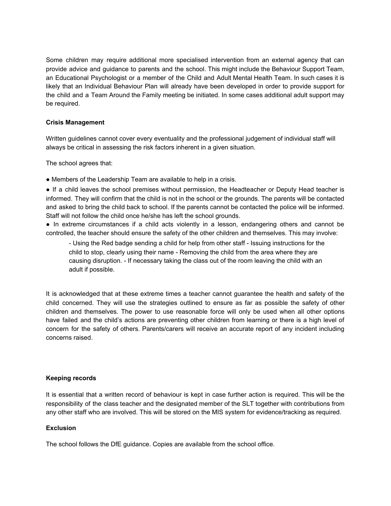Some children may require additional more specialised intervention from an external agency that can provide advice and guidance to parents and the school. This might include the Behaviour Support Team, an Educational Psychologist or a member of the Child and Adult Mental Health Team. In such cases it is likely that an Individual Behaviour Plan will already have been developed in order to provide support for the child and a Team Around the Family meeting be initiated. In some cases additional adult support may be required.

# **Crisis Management**

Written guidelines cannot cover every eventuality and the professional judgement of individual staff will always be critical in assessing the risk factors inherent in a given situation.

The school agrees that:

● Members of the Leadership Team are available to help in a crisis.

● If a child leaves the school premises without permission, the Headteacher or Deputy Head teacher is informed. They will confirm that the child is not in the school or the grounds. The parents will be contacted and asked to bring the child back to school. If the parents cannot be contacted the police will be informed. Staff will not follow the child once he/she has left the school grounds.

● In extreme circumstances if a child acts violently in a lesson, endangering others and cannot be controlled, the teacher should ensure the safety of the other children and themselves. This may involve:

- Using the Red badge sending a child for help from other staff - Issuing instructions for the child to stop, clearly using their name - Removing the child from the area where they are causing disruption. - If necessary taking the class out of the room leaving the child with an adult if possible.

It is acknowledged that at these extreme times a teacher cannot guarantee the health and safety of the child concerned. They will use the strategies outlined to ensure as far as possible the safety of other children and themselves. The power to use reasonable force will only be used when all other options have failed and the child's actions are preventing other children from learning or there is a high level of concern for the safety of others. Parents/carers will receive an accurate report of any incident including concerns raised.

# **Keeping records**

It is essential that a written record of behaviour is kept in case further action is required. This will be the responsibility of the class teacher and the designated member of the SLT together with contributions from any other staff who are involved. This will be stored on the MIS system for evidence/tracking as required.

#### **Exclusion**

The school follows the DfE guidance. Copies are available from the school office.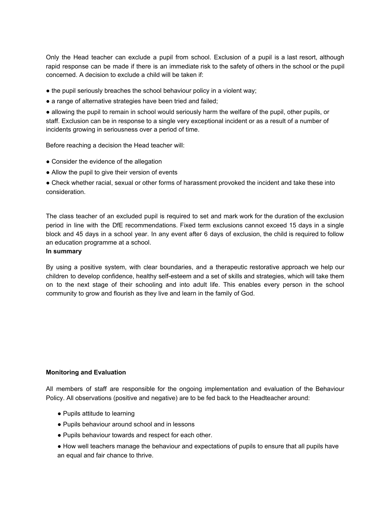Only the Head teacher can exclude a pupil from school. Exclusion of a pupil is a last resort, although rapid response can be made if there is an immediate risk to the safety of others in the school or the pupil concerned. A decision to exclude a child will be taken if:

• the pupil seriously breaches the school behaviour policy in a violent way;

• a range of alternative strategies have been tried and failed;

● allowing the pupil to remain in school would seriously harm the welfare of the pupil, other pupils, or staff. Exclusion can be in response to a single very exceptional incident or as a result of a number of incidents growing in seriousness over a period of time.

Before reaching a decision the Head teacher will:

- Consider the evidence of the allegation
- Allow the pupil to give their version of events

● Check whether racial, sexual or other forms of harassment provoked the incident and take these into consideration.

The class teacher of an excluded pupil is required to set and mark work for the duration of the exclusion period in line with the DfE recommendations. Fixed term exclusions cannot exceed 15 days in a single block and 45 days in a school year. In any event after 6 days of exclusion, the child is required to follow an education programme at a school.

# **In summary**

By using a positive system, with clear boundaries, and a therapeutic restorative approach we help our children to develop confidence, healthy self-esteem and a set of skills and strategies, which will take them on to the next stage of their schooling and into adult life. This enables every person in the school community to grow and flourish as they live and learn in the family of God.

# **Monitoring and Evaluation**

All members of staff are responsible for the ongoing implementation and evaluation of the Behaviour Policy. All observations (positive and negative) are to be fed back to the Headteacher around:

- Pupils attitude to learning
- Pupils behaviour around school and in lessons
- Pupils behaviour towards and respect for each other.
- How well teachers manage the behaviour and expectations of pupils to ensure that all pupils have an equal and fair chance to thrive.